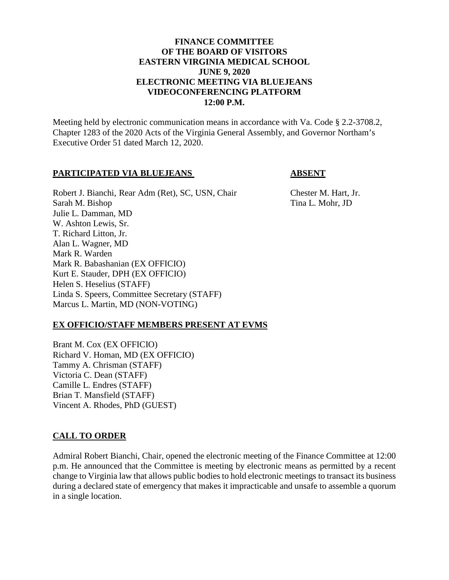#### **FINANCE COMMITTEE OF THE BOARD OF VISITORS EASTERN VIRGINIA MEDICAL SCHOOL JUNE 9, 2020 ELECTRONIC MEETING VIA BLUEJEANS VIDEOCONFERENCING PLATFORM 12:00 P.M.**

Meeting held by electronic communication means in accordance with Va. Code § 2.2-3708.2, Chapter 1283 of the 2020 Acts of the Virginia General Assembly, and Governor Northam's Executive Order 51 dated March 12, 2020.

#### **PARTICIPATED VIA BLUEJEANS ABSENT**

Robert J. Bianchi, Rear Adm (Ret), SC, USN, Chair Chester M. Hart, Jr. Sarah M. Bishop Tina L. Mohr, JD Julie L. Damman, MD W. Ashton Lewis, Sr. T. Richard Litton, Jr. Alan L. Wagner, MD Mark R. Warden Mark R. Babashanian (EX OFFICIO) Kurt E. Stauder, DPH (EX OFFICIO) Helen S. Heselius (STAFF) Linda S. Speers, Committee Secretary (STAFF) Marcus L. Martin, MD (NON-VOTING)

#### **EX OFFICIO/STAFF MEMBERS PRESENT AT EVMS**

Brant M. Cox (EX OFFICIO) Richard V. Homan, MD (EX OFFICIO) Tammy A. Chrisman (STAFF) Victoria C. Dean (STAFF) Camille L. Endres (STAFF) Brian T. Mansfield (STAFF) Vincent A. Rhodes, PhD (GUEST)

#### **CALL TO ORDER**

Admiral Robert Bianchi, Chair, opened the electronic meeting of the Finance Committee at 12:00 p.m. He announced that the Committee is meeting by electronic means as permitted by a recent change to Virginia law that allows public bodies to hold electronic meetings to transact its business during a declared state of emergency that makes it impracticable and unsafe to assemble a quorum in a single location.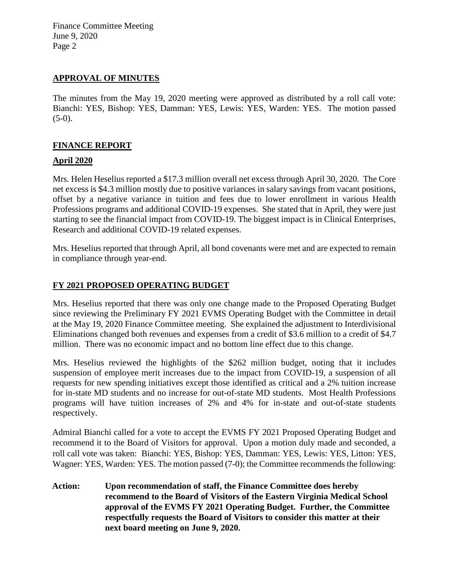Finance Committee Meeting June 9, 2020 Page 2

## **APPROVAL OF MINUTES**

The minutes from the May 19, 2020 meeting were approved as distributed by a roll call vote: Bianchi: YES, Bishop: YES, Damman: YES, Lewis: YES, Warden: YES. The motion passed  $(5-0)$ .

## **FINANCE REPORT**

## **April 2020**

Mrs. Helen Heselius reported a \$17.3 million overall net excess through April 30, 2020. The Core net excess is \$4.3 million mostly due to positive variances in salary savings from vacant positions, offset by a negative variance in tuition and fees due to lower enrollment in various Health Professions programs and additional COVID-19 expenses. She stated that in April, they were just starting to see the financial impact from COVID-19. The biggest impact is in Clinical Enterprises, Research and additional COVID-19 related expenses.

Mrs. Heselius reported that through April, all bond covenants were met and are expected to remain in compliance through year-end.

#### **FY 2021 PROPOSED OPERATING BUDGET**

Mrs. Heselius reported that there was only one change made to the Proposed Operating Budget since reviewing the Preliminary FY 2021 EVMS Operating Budget with the Committee in detail at the May 19, 2020 Finance Committee meeting. She explained the adjustment to Interdivisional Eliminations changed both revenues and expenses from a credit of \$3.6 million to a credit of \$4.7 million. There was no economic impact and no bottom line effect due to this change.

Mrs. Heselius reviewed the highlights of the \$262 million budget, noting that it includes suspension of employee merit increases due to the impact from COVID-19, a suspension of all requests for new spending initiatives except those identified as critical and a 2% tuition increase for in-state MD students and no increase for out-of-state MD students. Most Health Professions programs will have tuition increases of 2% and 4% for in-state and out-of-state students respectively.

Admiral Bianchi called for a vote to accept the EVMS FY 2021 Proposed Operating Budget and recommend it to the Board of Visitors for approval. Upon a motion duly made and seconded, a roll call vote was taken: Bianchi: YES, Bishop: YES, Damman: YES, Lewis: YES, Litton: YES, Wagner: YES, Warden: YES. The motion passed (7-0); the Committee recommends the following:

**Action: Upon recommendation of staff, the Finance Committee does hereby recommend to the Board of Visitors of the Eastern Virginia Medical School approval of the EVMS FY 2021 Operating Budget. Further, the Committee respectfully requests the Board of Visitors to consider this matter at their next board meeting on June 9, 2020.**